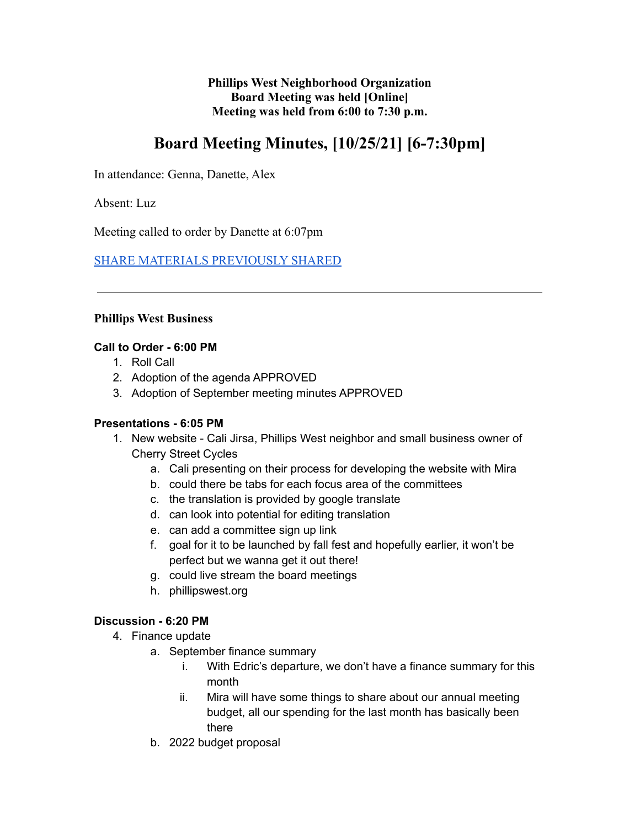**Phillips West Neighborhood Organization Board Meeting was held [Online] Meeting was held from 6:00 to 7:30 p.m.**

# **Board Meeting Minutes, [10/25/21] [6-7:30pm]**

In attendance: Genna, Danette, Alex

Absent: Luz

Meeting called to order by Danette at 6:07pm

[SHARE MATERIALS PREVIOUSLY SHARED](https://docs.google.com/document/d/1T5ipwl6hJ2LRAl2aRRxmbqu7nXMcgPO40qvwtdV8dkE/edit?usp=sharing)

#### **Phillips West Business**

#### **Call to Order - 6:00 PM**

- 1. Roll Call
- 2. Adoption of the agenda APPROVED
- 3. Adoption of September meeting minutes APPROVED

#### **Presentations - 6:05 PM**

- 1. New website Cali Jirsa, Phillips West neighbor and small business owner of Cherry Street Cycles
	- a. Cali presenting on their process for developing the website with Mira
	- b. could there be tabs for each focus area of the committees
	- c. the translation is provided by google translate
	- d. can look into potential for editing translation
	- e. can add a committee sign up link
	- f. goal for it to be launched by fall fest and hopefully earlier, it won't be perfect but we wanna get it out there!
	- g. could live stream the board meetings
	- h. phillipswest.org

#### **Discussion - 6:20 PM**

- 4. Finance update
	- a. September finance summary
		- i. With Edric's departure, we don't have a finance summary for this month
		- ii. Mira will have some things to share about our annual meeting budget, all our spending for the last month has basically been there
	- b. 2022 budget proposal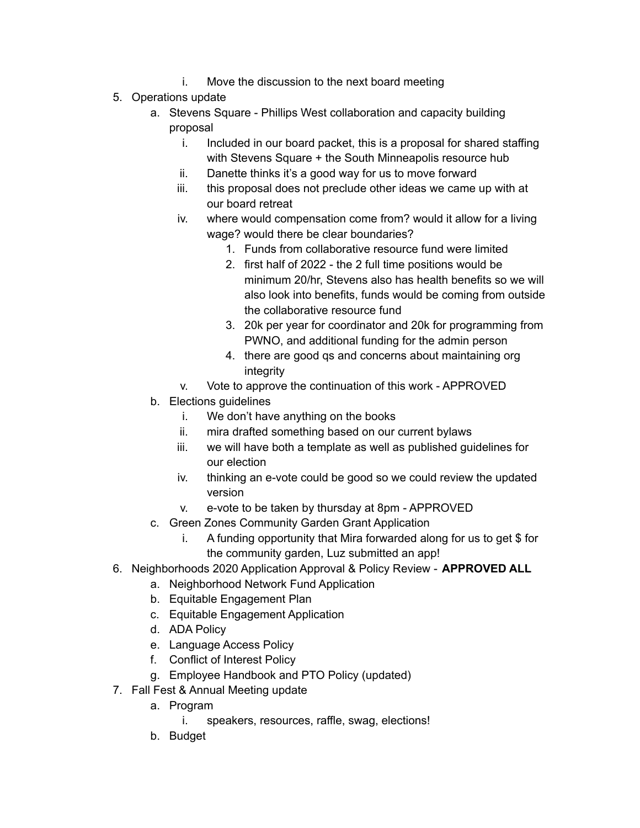- i. Move the discussion to the next board meeting
- 5. Operations update
	- a. Stevens Square Phillips West collaboration and capacity building proposal
		- i. Included in our board packet, this is a proposal for shared staffing with Stevens Square + the South Minneapolis resource hub
		- ii. Danette thinks it's a good way for us to move forward
		- iii. this proposal does not preclude other ideas we came up with at our board retreat
		- iv. where would compensation come from? would it allow for a living wage? would there be clear boundaries?
			- 1. Funds from collaborative resource fund were limited
			- 2. first half of 2022 the 2 full time positions would be minimum 20/hr, Stevens also has health benefits so we will also look into benefits, funds would be coming from outside the collaborative resource fund
			- 3. 20k per year for coordinator and 20k for programming from PWNO, and additional funding for the admin person
			- 4. there are good qs and concerns about maintaining org integrity
		- v. Vote to approve the continuation of this work APPROVED
	- b. Elections guidelines
		- i. We don't have anything on the books
		- ii. mira drafted something based on our current bylaws
		- iii. we will have both a template as well as published guidelines for our election
		- iv. thinking an e-vote could be good so we could review the updated version
		- v. e-vote to be taken by thursday at 8pm APPROVED
	- c. Green Zones Community Garden Grant Application
		- i. A funding opportunity that Mira forwarded along for us to get \$ for the community garden, Luz submitted an app!
- 6. Neighborhoods 2020 Application Approval & Policy Review **APPROVED ALL**
	- a. Neighborhood Network Fund Application
	- b. Equitable Engagement Plan
	- c. Equitable Engagement Application
	- d. ADA Policy
	- e. Language Access Policy
	- f. Conflict of Interest Policy
	- g. Employee Handbook and PTO Policy (updated)
- 7. Fall Fest & Annual Meeting update
	- a. Program
		- i. speakers, resources, raffle, swag, elections!
	- b. Budget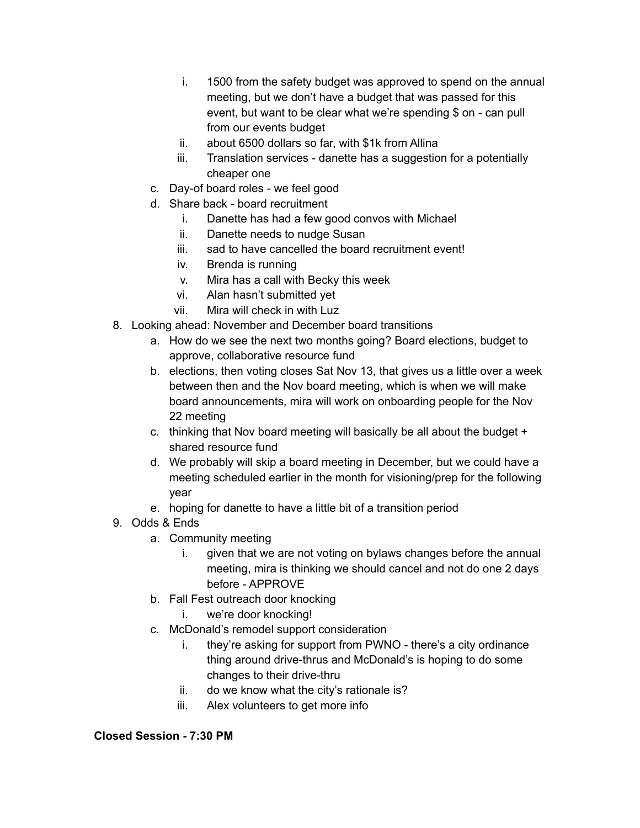- i. 1500 from the safety budget was approved to spend on the annual meeting, but we don't have a budget that was passed for this event, but want to be clear what we're spending \$ on - can pull from our events budget
- ii. about 6500 dollars so far, with \$1k from Allina
- iii. Translation services danette has a suggestion for a potentially cheaper one
- c. Day-of board roles we feel good
- d. Share back board recruitment
	- i. Danette has had a few good convos with Michael
	- ii. Danette needs to nudge Susan
	- iii. sad to have cancelled the board recruitment event!
	- iv. Brenda is running
	- v. Mira has a call with Becky this week
	- vi. Alan hasn't submitted yet
	- vii. Mira will check in with Luz
- 8. Looking ahead: November and December board transitions
	- a. How do we see the next two months going? Board elections, budget to approve, collaborative resource fund
	- b. elections, then voting closes Sat Nov 13, that gives us a little over a week between then and the Nov board meeting, which is when we will make board announcements, mira will work on onboarding people for the Nov 22 meeting
	- c. thinking that Nov board meeting will basically be all about the budget + shared resource fund
	- d. We probably will skip a board meeting in December, but we could have a meeting scheduled earlier in the month for visioning/prep for the following year
	- e. hoping for danette to have a little bit of a transition period
- 9. Odds & Ends
	- a. Community meeting
		- i. given that we are not voting on bylaws changes before the annual meeting, mira is thinking we should cancel and not do one 2 days before - APPROVE
	- b. Fall Fest outreach door knocking
		- i. we're door knocking!
	- c. McDonald's remodel support consideration
		- i. they're asking for support from PWNO there's a city ordinance thing around drive-thrus and McDonald's is hoping to do some changes to their drive-thru
		- ii. do we know what the city's rationale is?
		- iii. Alex volunteers to get more info

#### **Closed Session - 7:30 PM**